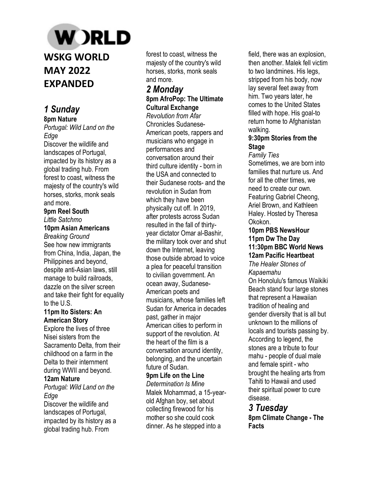# **W** )RLD **WSKG WORLD MAY 2022 EXPANDED**

## *1 Sunday*  **8pm Nature**

*Portugal: Wild Land on the Edge* 

Discover the wildlife and landscapes of Portugal, impacted by its history as a global trading hub. From forest to coast, witness the majesty of the country's wild horses, storks, monk seals and more.

#### **9pm Reel South**  *Little Satchmo*

## **10pm Asian Americans**

*Breaking Ground*  See how new immigrants from China, India, Japan, the Philippines and beyond, despite anti-Asian laws, still manage to build railroads, dazzle on the silver screen and take their fight for equality to the U.S.

#### **11pm Ito Sisters: An American Story**

Explore the lives of three Nisei sisters from the Sacramento Delta, from their childhood on a farm in the Delta to their internment during WWII and beyond.

## **12am Nature**

*Portugal: Wild Land on the Edge* 

Discover the wildlife and landscapes of Portugal, impacted by its history as a global trading hub. From

forest to coast, witness the majesty of the country's wild horses, storks, monk seals and more.

## *2 Monday*  **8pm AfroPop: The Ultimate Cultural Exchange**

*Revolution from Afar*  Chronicles Sudanese-American poets, rappers and musicians who engage in performances and conversation around their third culture identity - born in the USA and connected to their Sudanese roots- and the revolution in Sudan from which they have been physically cut off. In 2019, after protests across Sudan resulted in the fall of thirtyyear dictator Omar al-Bashir, the military took over and shut down the Internet, leaving those outside abroad to voice a plea for peaceful transition to civilian government. An ocean away, Sudanese-American poets and musicians, whose families left Sudan for America in decades past, gather in major American cities to perform in support of the revolution. At the heart of the film is a conversation around identity, belonging, and the uncertain future of Sudan.

## **9pm Life on the Line**

*Determination Is Mine*  Malek Mohammad, a 15-yearold Afghan boy, set about collecting firewood for his mother so she could cook dinner. As he stepped into a

field, there was an explosion, then another. Malek fell victim to two landmines. His legs, stripped from his body, now lay several feet away from him. Two years later, he comes to the United States filled with hope. His goal-to return home to Afghanistan walking.

## **9:30pm Stories from the Stage**

*Family Ties* 

Sometimes, we are born into families that nurture us. And for all the other times, we need to create our own. Featuring Gabriel Cheong, Ariel Brown, and Kathleen Haley. Hosted by Theresa Okokon.

#### **10pm PBS NewsHour 11pm Dw The Day 11:30pm BBC World News 12am Pacific Heartbeat**

*The Healer Stones of Kapaemahu* 

On Honolulu's famous Waikiki Beach stand four large stones that represent a Hawaiian tradition of healing and gender diversity that is all but unknown to the millions of locals and tourists passing by. According to legend, the stones are a tribute to four mahu - people of dual male and female spirit - who brought the healing arts from Tahiti to Hawaii and used their spiritual power to cure disease.

## *3 Tuesday*  **8pm Climate Change - The Facts**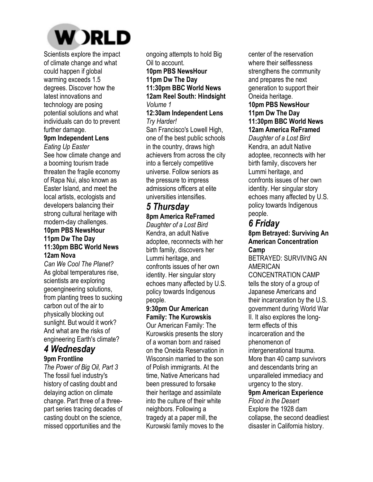

Scientists explore the impact of climate change and what could happen if global warming exceeds 1.5 degrees. Discover how the latest innovations and technology are posing potential solutions and what individuals can do to prevent further damage.

#### **9pm Independent Lens**

*Eating Up Easter*  See how climate change and a booming tourism trade threaten the fragile economy of Rapa Nui, also known as Easter Island, and meet the local artists, ecologists and developers balancing their strong cultural heritage with modern-day challenges. **10pm PBS NewsHour 11pm Dw The Day 11:30pm BBC World News 12am Nova** 

*Can We Cool The Planet?*  As global temperatures rise, scientists are exploring geoengineering solutions, from planting trees to sucking carbon out of the air to physically blocking out sunlight. But would it work? And what are the risks of engineering Earth's climate?

## *4 Wednesday* **9pm Frontline**

*The Power of Big Oil, Part 3*  The fossil fuel industry's history of casting doubt and delaying action on climate change. Part three of a threepart series tracing decades of casting doubt on the science, missed opportunities and the

ongoing attempts to hold Big Oil to account. **10pm PBS NewsHour 11pm Dw The Day 11:30pm BBC World News 12am Reel South: Hindsight**  *Volume 1* 

#### **12:30am Independent Lens**  *Try Harder!*

San Francisco's Lowell High, one of the best public schools in the country, draws high achievers from across the city into a fiercely competitive universe. Follow seniors as the pressure to impress admissions officers at elite universities intensifies.

# *5 Thursday*

## **8pm America ReFramed**

*Daughter of a Lost Bird*  Kendra, an adult Native adoptee, reconnects with her birth family, discovers her Lummi heritage, and confronts issues of her own identity. Her singular story echoes many affected by U.S. policy towards Indigenous people.

#### **9:30pm Our American Family: The Kurowskis**

Our American Family: The Kurowskis presents the story of a woman born and raised on the Oneida Reservation in Wisconsin married to the son of Polish immigrants. At the time, Native Americans had been pressured to forsake their heritage and assimilate into the culture of their white neighbors. Following a tragedy at a paper mill, the Kurowski family moves to the center of the reservation where their selflessness strengthens the community and prepares the next generation to support their Oneida heritage.

#### **10pm PBS NewsHour 11pm Dw The Day 11:30pm BBC World News**

**12am America ReFramed** 

*Daughter of a Lost Bird*  Kendra, an adult Native adoptee, reconnects with her birth family, discovers her Lummi heritage, and confronts issues of her own identity. Her singular story echoes many affected by U.S. policy towards Indigenous people.

## *6 Friday*

**8pm Betrayed: Surviving An American Concentration Camp** 

BETRAYED: SURVIVING AN AMERICAN

CONCENTRATION CAMP tells the story of a group of Japanese Americans and their incarceration by the U.S. government during World War II. It also explores the longterm effects of this incarceration and the phenomenon of intergenerational trauma. More than 40 camp survivors and descendants bring an unparalleled immediacy and urgency to the story. **9pm American Experience**  *Flood in the Desert*  Explore the 1928 dam collapse, the second deadliest

disaster in California history.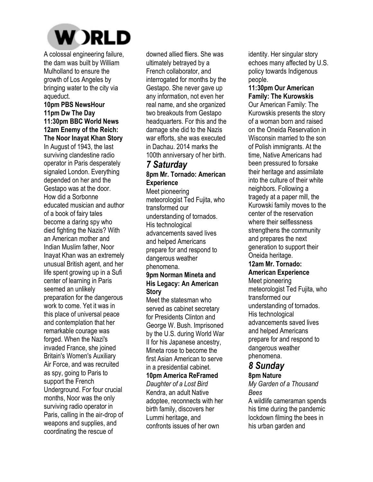

A colossal engineering failure, the dam was built by William Mulholland to ensure the growth of Los Angeles by bringing water to the city via aqueduct.

#### **10pm PBS NewsHour 11pm Dw The Day 11:30pm BBC World News 12am Enemy of the Reich: The Noor Inayat Khan Story**

In August of 1943, the last surviving clandestine radio operator in Paris desperately signaled London. Everything depended on her and the Gestapo was at the door. How did a Sorbonne educated musician and author of a book of fairy tales become a daring spy who died fighting the Nazis? With an American mother and Indian Muslim father, Noor Inayat Khan was an extremely unusual British agent, and her life spent growing up in a Sufi center of learning in Paris seemed an unlikely preparation for the dangerous work to come. Yet it was in this place of universal peace and contemplation that her remarkable courage was forged. When the Nazi's invaded France, she joined Britain's Women's Auxiliary Air Force, and was recruited as spy, going to Paris to support the French Underground. For four crucial months, Noor was the only surviving radio operator in Paris, calling in the air-drop of weapons and supplies, and coordinating the rescue of

downed allied fliers. She was ultimately betrayed by a French collaborator, and interrogated for months by the Gestapo. She never gave up any information, not even her real name, and she organized two breakouts from Gestapo headquarters. For this and the damage she did to the Nazis war efforts, she was executed in Dachau. 2014 marks the 100th anniversary of her birth.

# *7 Saturday*

## **8pm Mr. Tornado: American Experience**

Meet pioneering meteorologist Ted Fujita, who transformed our understanding of tornados. His technological advancements saved lives and helped Americans prepare for and respond to dangerous weather phenomena. **9pm Norman Mineta and** 

## **His Legacy: An American Story**

Meet the statesman who served as cabinet secretary for Presidents Clinton and George W. Bush. Imprisoned by the U.S. during World War II for his Japanese ancestry, Mineta rose to become the first Asian American to serve in a presidential cabinet. **10pm America ReFramed** 

*Daughter of a Lost Bird*  Kendra, an adult Native adoptee, reconnects with her birth family, discovers her Lummi heritage, and confronts issues of her own

identity. Her singular story echoes many affected by U.S. policy towards Indigenous people.

## **11:30pm Our American Family: The Kurowskis**

Our American Family: The Kurowskis presents the story of a woman born and raised on the Oneida Reservation in Wisconsin married to the son of Polish immigrants. At the time, Native Americans had been pressured to forsake their heritage and assimilate into the culture of their white neighbors. Following a tragedy at a paper mill, the Kurowski family moves to the center of the reservation where their selflessness strengthens the community and prepares the next generation to support their Oneida heritage.

## **12am Mr. Tornado:**

**American Experience**  Meet pioneering meteorologist Ted Fujita, who transformed our understanding of tornados. His technological advancements saved lives and helped Americans prepare for and respond to dangerous weather phenomena.

# *8 Sunday*

## **8pm Nature**

*My Garden of a Thousand Bees* 

A wildlife cameraman spends his time during the pandemic lockdown filming the bees in his urban garden and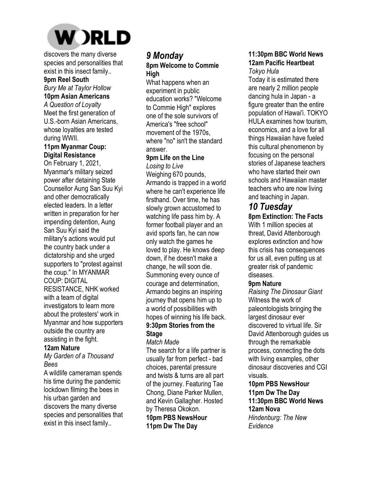

discovers the many diverse species and personalities that exist in this insect family..

## **9pm Reel South**

#### *Bury Me at Taylor Hollow*  **10pm Asian Americans**

*A Question of Loyalty*  Meet the first generation of U.S.-born Asian Americans, whose loyalties are tested during WWII.

#### **11pm Myanmar Coup: Digital Resistance**

On February 1, 2021, Myanmar's military seized power after detaining State Counsellor Aung San Suu Kyi and other democratically elected leaders. In a letter written in preparation for her impending detention, Aung San Suu Kyi said the military's actions would put the country back under a dictatorship and she urged supporters to "protest against the coup." In MYANMAR COUP: DIGITAL RESISTANCE, NHK worked with a team of digital investigators to learn more about the protesters' work in Myanmar and how supporters outside the country are assisting in the fight.

## **12am Nature**

*My Garden of a Thousand Bees* 

A wildlife cameraman spends his time during the pandemic lockdown filming the bees in his urban garden and discovers the many diverse species and personalities that exist in this insect family..

## *9 Monday*  **8pm Welcome to Commie High**

What happens when an experiment in public education works? "Welcome to Commie High" explores one of the sole survivors of America's "free school" movement of the 1970s, where "no" isn't the standard answer.

## **9pm Life on the Line**

*Losing to Live*  Weighing 670 pounds, Armando is trapped in a world where he can't experience life firsthand. Over time, he has slowly grown accustomed to watching life pass him by. A former football player and an avid sports fan, he can now only watch the games he loved to play. He knows deep down, if he doesn't make a change, he will soon die. Summoning every ounce of courage and determination, Armando begins an inspiring journey that opens him up to a world of possibilities with hopes of winning his life back. **9:30pm Stories from the Stage** 

## *Match Made*

The search for a life partner is usually far from perfect - bad choices, parental pressure and twists & turns are all part of the journey. Featuring Tae Chong, Diane Parker Mullen, and Kevin Gallagher. Hosted by Theresa Okokon. **10pm PBS NewsHour** 

# **11pm Dw The Day**

#### **11:30pm BBC World News 12am Pacific Heartbeat**  *Tokyo Hula*

Today it is estimated there are nearly 2 million people dancing hula in Japan - a figure greater than the entire population of Hawai'i. TOKYO HULA examines how tourism, economics, and a love for all things Hawaiian have fueled this cultural phenomenon by focusing on the personal stories of Japanese teachers who have started their own schools and Hawaiian master teachers who are now living and teaching in Japan.

# *10 Tuesday*

**8pm Extinction: The Facts**  With 1 million species at threat, David Attenborough explores extinction and how this crisis has consequences for us all, even putting us at greater risk of pandemic diseases.

## **9pm Nature**

*Raising The Dinosaur Giant*  Witness the work of paleontologists bringing the largest dinosaur ever discovered to virtual life. Sir David Attenborough guides us through the remarkable process, connecting the dots with living examples, other dinosaur discoveries and CGI visuals.

**10pm PBS NewsHour 11pm Dw The Day 11:30pm BBC World News 12am Nova**  *Hindenburg: The New Evidence*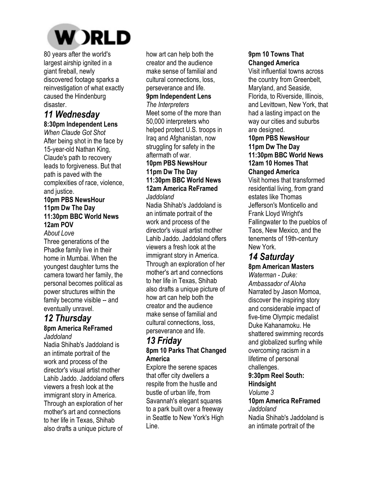

80 years after the world's largest airship ignited in a giant fireball, newly discovered footage sparks a reinvestigation of what exactly caused the Hindenburg disaster.

# *11 Wednesday*

**8:30pm Independent Lens**  *When Claude Got Shot*  After being shot in the face by 15-year-old Nathan King, Claude's path to recovery leads to forgiveness. But that path is paved with the complexities of race, violence, and justice.

## **10pm PBS NewsHour 11pm Dw The Day 11:30pm BBC World News 12am POV**

*About Love* 

Three generations of the Phadke family live in their home in Mumbai. When the youngest daughter turns the camera toward her family, the personal becomes political as power structures within the family become visible -- and eventually unravel.

## *12 Thursday*  **8pm America ReFramed**

*Jaddoland* 

Nadia Shihab's Jaddoland is an intimate portrait of the work and process of the director's visual artist mother Lahib Jaddo. Jaddoland offers viewers a fresh look at the immigrant story in America. Through an exploration of her mother's art and connections to her life in Texas, Shihab also drafts a unique picture of

how art can help both the creator and the audience make sense of familial and cultural connections, loss, perseverance and life. **9pm Independent Lens**  *The Interpreters*  Meet some of the more than 50,000 interpreters who helped protect U.S. troops in Iraq and Afghanistan, now struggling for safety in the aftermath of war. **10pm PBS NewsHour** 

## **11pm Dw The Day 11:30pm BBC World News 12am America ReFramed**

*Jaddoland* 

Nadia Shihab's Jaddoland is an intimate portrait of the work and process of the director's visual artist mother Lahib Jaddo. Jaddoland offers viewers a fresh look at the immigrant story in America. Through an exploration of her mother's art and connections to her life in Texas, Shihab also drafts a unique picture of how art can help both the creator and the audience make sense of familial and cultural connections, loss, perseverance and life.

## *13 Friday*  **8pm 10 Parks That Changed America**

Explore the serene spaces that offer city dwellers a respite from the hustle and bustle of urban life, from Savannah's elegant squares to a park built over a freeway in Seattle to New York's High Line.

## **9pm 10 Towns That Changed America**

Visit influential towns across the country from Greenbelt, Maryland, and Seaside, Florida, to Riverside, Illinois, and Levittown, New York, that had a lasting impact on the way our cities and suburbs are designed.

#### **10pm PBS NewsHour 11pm Dw The Day 11:30pm BBC World News 12am 10 Homes That**

## **Changed America**

Visit homes that transformed residential living, from grand estates like Thomas Jefferson's Monticello and Frank Lloyd Wright's Fallingwater to the pueblos of Taos, New Mexico, and the tenements of 19th-century New York.

## *14 Saturday*

## **8pm American Masters**

*Waterman - Duke: Ambassador of Aloha*  Narrated by Jason Momoa, discover the inspiring story and considerable impact of five-time Olympic medalist Duke Kahanamoku. He shattered swimming records and globalized surfing while overcoming racism in a lifetime of personal challenges.

#### **9:30pm Reel South: Hindsight**

*Volume 3* 

#### **10pm America ReFramed**  *Jaddoland*  Nadia Shihab's Jaddoland is an intimate portrait of the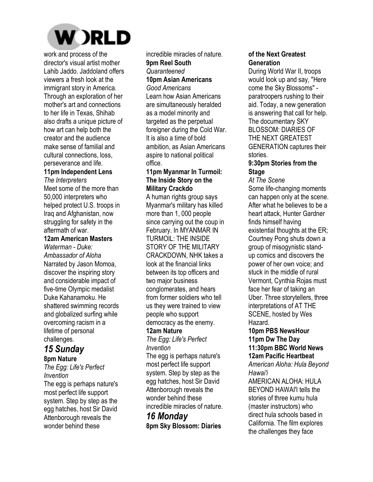

work and process of the director's visual artist mother Lahib Jaddo. Jaddoland offers viewers a fresh look at the immigrant story in America. Through an exploration of her mother's art and connections to her life in Texas, Shihab also drafts a unique picture of how art can help both the creator and the audience make sense of familial and cultural connections, loss, perseverance and life.

## **11pm Independent Lens**

*The Interpreters*  Meet some of the more than 50,000 interpreters who helped protect U.S. troops in Iraq and Afghanistan, now struggling for safety in the aftermath of war.

### **12am American Masters**

*Waterman - Duke: Ambassador of Aloha*  Narrated by Jason Momoa, discover the inspiring story and considerable impact of five-time Olympic medalist Duke Kahanamoku. He shattered swimming records and globalized surfing while overcoming racism in a lifetime of personal challenges.

## *15 Sunday*  **8pm Nature**

*The Egg: Life's Perfect Invention* 

The egg is perhaps nature's most perfect life support system. Step by step as the egg hatches, host Sir David Attenborough reveals the wonder behind these

incredible miracles of nature. **9pm Reel South**  *Quaranteened* 

#### **10pm Asian Americans**  *Good Americans*

Learn how Asian Americans are simultaneously heralded as a model minority and targeted as the perpetual foreigner during the Cold War. It is also a time of bold ambition, as Asian Americans aspire to national political office.

#### **11pm Myanmar In Turmoil: The Inside Story on the Military Crackdo**

A human rights group says Myanmar's military has killed more than 1, 000 people since carrying out the coup in February. In MYANMAR IN TURMOIL: THE INSIDE STORY OF THE MILITARY CRACKDOWN, NHK takes a look at the financial links between its top officers and two major business conglomerates, and hears from former soldiers who tell us they were trained to view people who support democracy as the enemy.

## **12am Nature**

*The Egg: Life's Perfect Invention* 

The egg is perhaps nature's most perfect life support system. Step by step as the egg hatches, host Sir David Attenborough reveals the wonder behind these incredible miracles of nature.

## *16 Monday*  **8pm Sky Blossom: Diaries**

## **of the Next Greatest Generation**

During World War II, troops would look up and say, "Here come the Sky Blossoms" paratroopers rushing to their aid. Today, a new generation is answering that call for help. The documentary SKY BLOSSOM: DIARIES OF THE NEXT GREATEST GENERATION captures their stories.

## **9:30pm Stories from the Stage**

*At The Scene* 

Some life-changing moments can happen only at the scene. After what he believes to be a heart attack, Hunter Gardner finds himself having existential thoughts at the ER; Courtney Pong shuts down a group of misogynistic standup comics and discovers the power of her own voice; and stuck in the middle of rural Vermont, Cynthia Rojas must face her fear of taking an Uber. Three storytellers, three interpretations of AT THE SCENE, hosted by Wes Hazard.

#### **10pm PBS NewsHour 11pm Dw The Day 11:30pm BBC World News 12am Pacific Heartbeat**

*American Aloha: Hula Beyond Hawai'i* 

AMERICAN ALOHA: HULA BEYOND HAWAI'I tells the stories of three kumu hula (master instructors) who direct hula schools based in California. The film explores the challenges they face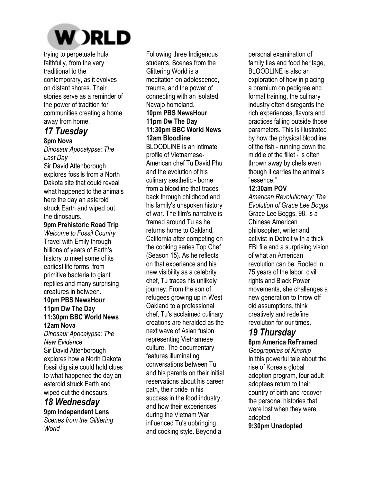

trying to perpetuate hula faithfully, from the very traditional to the contemporary, as it evolves on distant shores. Their stories serve as a reminder of the power of tradition for communities creating a home away from home.

## *17 Tuesday*  **8pm Nova**

*Dinosaur Apocalypse: The Last Day* 

Sir David Attenborough explores fossils from a North Dakota site that could reveal what happened to the animals here the day an asteroid struck Earth and wiped out the dinosaurs.

#### **9pm Prehistoric Road Trip**

*Welcome to Fossil Country*  Travel with Emily through billions of years of Earth's history to meet some of its earliest life forms, from primitive bacteria to giant reptiles and many surprising creatures in between. **10pm PBS NewsHour** 

## **11pm Dw The Day 11:30pm BBC World News 12am Nova**

*Dinosaur Apocalypse: The New Evidence*  Sir David Attenborough explores how a North Dakota fossil dig site could hold clues to what happened the day an asteroid struck Earth and wiped out the dinosaurs.

## *18 Wednesday*  **9pm Independent Lens**

*Scenes from the Glittering World* 

Following three Indigenous students, Scenes from the Glittering World is a meditation on adolescence, trauma, and the power of connecting with an isolated Navajo homeland. **10pm PBS NewsHour** 

### **11pm Dw The Day 11:30pm BBC World News 12am Bloodline**

BLOODLINE is an intimate profile of Vietnamese-American chef Tu David Phu and the evolution of his culinary aesthetic - borne from a bloodline that traces back through childhood and his family's unspoken history of war. The film's narrative is framed around Tu as he returns home to Oakland, California after competing on the cooking series Top Chef (Season 15). As he reflects on that experience and his new visibility as a celebrity chef, Tu traces his unlikely journey. From the son of refugees growing up in West Oakland to a professional chef, Tu's acclaimed culinary creations are heralded as the next wave of Asian fusion representing Vietnamese culture. The documentary features illuminating conversations between Tu and his parents on their initial reservations about his career path, their pride in his success in the food industry, and how their experiences during the Vietnam War influenced Tu's upbringing and cooking style. Beyond a

personal examination of family ties and food heritage, BLOODLINE is also an exploration of how in placing a premium on pedigree and formal training, the culinary industry often disregards the rich experiences, flavors and practices falling outside those parameters. This is illustrated by how the physical bloodline of the fish - running down the middle of the fillet - is often thrown away by chefs even though it carries the animal's "essence."

## **12:30am POV**

*American Revolutionary: The Evolution of Grace Lee Boggs*  Grace Lee Boggs, 98, is a Chinese American philosopher, writer and activist in Detroit with a thick FBI file and a surprising vision of what an American revolution can be. Rooted in 75 years of the labor, civil rights and Black Power movements, she challenges a new generation to throw off old assumptions, think creatively and redefine revolution for our times.

## *19 Thursday*

**8pm America ReFramed** 

*Geographies of Kinship*  In this powerful tale about the rise of Korea's global adoption program, four adult adoptees return to their country of birth and recover the personal histories that were lost when they were adopted.

**9:30pm Unadopted**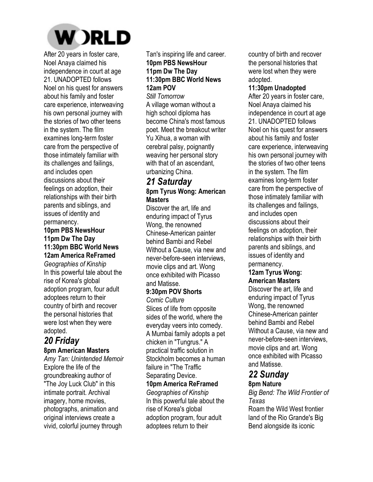

After 20 years in foster care, Noel Anaya claimed his independence in court at age 21. UNADOPTED follows Noel on his quest for answers about his family and foster care experience, interweaving his own personal journey with the stories of two other teens in the system. The film examines long-term foster care from the perspective of those intimately familiar with its challenges and failings, and includes open discussions about their feelings on adoption, their relationships with their birth parents and siblings, and issues of identity and permanency.

#### **10pm PBS NewsHour 11pm Dw The Day 11:30pm BBC World News 12am America ReFramed**

*Geographies of Kinship*  In this powerful tale about the rise of Korea's global adoption program, four adult adoptees return to their country of birth and recover the personal histories that were lost when they were adopted.

## *20 Friday*  **8pm American Masters**

*Amy Tan: Unintended Memoir*  Explore the life of the groundbreaking author of "The Joy Luck Club" in this intimate portrait. Archival imagery, home movies, photographs, animation and original interviews create a vivid, colorful journey through

Tan's inspiring life and career. **10pm PBS NewsHour 11pm Dw The Day** 

## **11:30pm BBC World News 12am POV**

*Still Tomorrow*  A village woman without a high school diploma has become China's most famous poet. Meet the breakout writer Yu Xihua, a woman with cerebral palsy, poignantly weaving her personal story with that of an ascendant, urbanizing China.

## *21 Saturday*  **8pm Tyrus Wong: American Masters**

Discover the art, life and enduring impact of Tyrus Wong, the renowned Chinese-American painter behind Bambi and Rebel Without a Cause, via new and never-before-seen interviews, movie clips and art. Wong once exhibited with Picasso and Matisse.

## **9:30pm POV Shorts**

*Comic Culture*  Slices of life from opposite sides of the world, where the everyday veers into comedy. A Mumbai family adopts a pet chicken in "Tungrus." A practical traffic solution in Stockholm becomes a human failure in "The Traffic Separating Device.

## **10pm America ReFramed**

*Geographies of Kinship*  In this powerful tale about the rise of Korea's global adoption program, four adult adoptees return to their

country of birth and recover the personal histories that were lost when they were adopted.

#### **11:30pm Unadopted**

After 20 years in foster care, Noel Anaya claimed his independence in court at age 21. UNADOPTED follows Noel on his quest for answers about his family and foster care experience, interweaving his own personal journey with the stories of two other teens in the system. The film examines long-term foster care from the perspective of those intimately familiar with its challenges and failings, and includes open discussions about their feelings on adoption, their relationships with their birth parents and siblings, and issues of identity and permanency.

### **12am Tyrus Wong: American Masters**

Discover the art, life and enduring impact of Tyrus Wong, the renowned Chinese-American painter behind Bambi and Rebel Without a Cause, via new and never-before-seen interviews, movie clips and art. Wong once exhibited with Picasso and Matisse.

## *22 Sunday*

## **8pm Nature**

*Big Bend: The Wild Frontier of Texas* 

Roam the Wild West frontier land of the Rio Grande's Big Bend alongside its iconic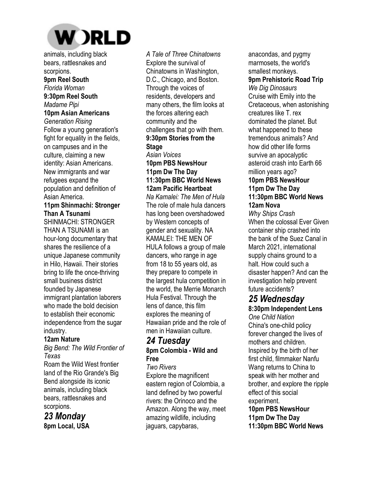

animals, including black bears, rattlesnakes and scorpions.

**9pm Reel South**  *Florida Woman*  **9:30pm Reel South**  *Madame Pipi*  **10pm Asian Americans**  *Generation Rising*  Follow a young generation's fight for equality in the fields, on campuses and in the culture, claiming a new identity: Asian Americans. New immigrants and war refugees expand the population and definition of Asian America.

### **11pm Shinmachi: Stronger Than A Tsunami**

SHINMACHI: STRONGER THAN A TSUNAMI is an hour-long documentary that shares the resilience of a unique Japanese community in Hilo, Hawaii. Their stories bring to life the once-thriving small business district founded by Japanese immigrant plantation laborers who made the bold decision to establish their economic independence from the sugar industry.

## **12am Nature**

*Big Bend: The Wild Frontier of Texas*  Roam the Wild West frontier

land of the Rio Grande's Big Bend alongside its iconic animals, including black bears, rattlesnakes and scorpions.

## *23 Monday*  **8pm Local, USA**

*A Tale of Three Chinatowns*  Explore the survival of Chinatowns in Washington, D.C., Chicago, and Boston. Through the voices of residents, developers and many others, the film looks at the forces altering each community and the challenges that go with them. **9:30pm Stories from the Stage**  *Asian Voices*  **10pm PBS NewsHour 11pm Dw The Day 11:30pm BBC World News 12am Pacific Heartbeat**  *Na Kamalei: The Men of Hula*  The role of male hula dancers has long been overshadowed by Western concepts of gender and sexuality. NA KAMALEI: THE MEN OF HULA follows a group of male dancers, who range in age from 18 to 55 years old, as they prepare to compete in the largest hula competition in the world, the Merrie Monarch Hula Festival. Through the lens of dance, this film explores the meaning of Hawaiian pride and the role of men in Hawaiian culture.

# *24 Tuesday*

## **8pm Colombia - Wild and Free**

*Two Rivers*  Explore the magnificent eastern region of Colombia, a land defined by two powerful rivers: the Orinoco and the Amazon. Along the way, meet amazing wildlife, including jaguars, capybaras,

anacondas, and pygmy marmosets, the world's smallest monkeys. **9pm Prehistoric Road Trip**  *We Dig Dinosaurs*  Cruise with Emily into the Cretaceous, when astonishing creatures like T. rex dominated the planet. But what happened to these tremendous animals? And how did other life forms survive an apocalyptic asteroid crash into Earth 66 million vears ago? **10pm PBS NewsHour 11pm Dw The Day 11:30pm BBC World News 12am Nova** 

*Why Ships Crash*  When the colossal Ever Given container ship crashed into the bank of the Suez Canal in March 2021, international supply chains ground to a halt. How could such a disaster happen? And can the investigation help prevent future accidents?

# *25 Wednesday*

**8:30pm Independent Lens**  *One Child Nation*  China's one-child policy forever changed the lives of mothers and children. Inspired by the birth of her first child, filmmaker Nanfu Wang returns to China to speak with her mother and brother, and explore the ripple effect of this social experiment. **10pm PBS NewsHour 11pm Dw The Day** 

**11:30pm BBC World News**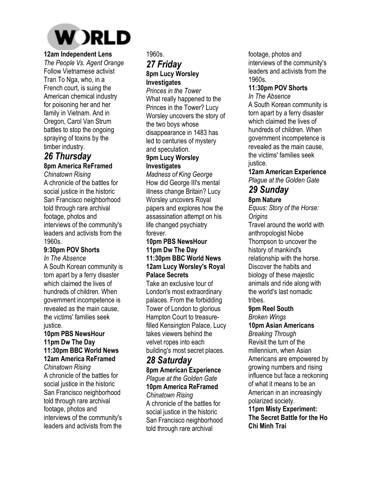

## **12am Independent Lens**

*The People Vs. Agent Orange*  Follow Vietnamese activist Tran To Nga, who, in a French court, is suing the American chemical industry for poisoning her and her family in Vietnam. And in Oregon, Carol Van Strum battles to stop the ongoing spraying of toxins by the timber industry.

## *26 Thursday*  **8pm America ReFramed**

*Chinatown Rising*  A chronicle of the battles for social justice in the historic San Francisco neighborhood told through rare archival footage, photos and interviews of the community's leaders and activists from the 1960s.

## **9:30pm POV Shorts**

*In The Absence*  A South Korean community is torn apart by a ferry disaster which claimed the lives of hundreds of children. When government incompetence is revealed as the main cause, the victims' families seek justice.

### **10pm PBS NewsHour 11pm Dw The Day 11:30pm BBC World News 12am America ReFramed**

*Chinatown Rising*  A chronicle of the battles for social justice in the historic San Francisco neighborhood told through rare archival footage, photos and interviews of the community's leaders and activists from the 1960s.

## *27 Friday*  **8pm Lucy Worsley Investigates**

*Princes in the Tower*  What really happened to the Princes in the Tower? Lucy Worsley uncovers the story of the two boys whose disappearance in 1483 has led to centuries of mystery and speculation.

## **9pm Lucy Worsley Investigates**

*Madness of King George*  How did George III's mental illness change Britain? Lucy Worsley uncovers Royal papers and explores how the assassination attempt on his life changed psychiatry forever.

#### **10pm PBS NewsHour 11pm Dw The Day 11:30pm BBC World News 12am Lucy Worsley's Royal Palace Secrets**

Take an exclusive tour of London's most extraordinary palaces. From the forbidding Tower of London to glorious Hampton Court to treasurefilled Kensington Palace, Lucy takes viewers behind the velvet ropes into each building's most secret places.

## *28 Saturday*

**8pm American Experience**  *Plague at the Golden Gate*  **10pm America ReFramed** 

## *Chinatown Rising*

A chronicle of the battles for social justice in the historic San Francisco neighborhood told through rare archival

footage, photos and interviews of the community's leaders and activists from the 1960s.

#### **11:30pm POV Shorts**  *In The Absence*

A South Korean community is torn apart by a ferry disaster which claimed the lives of hundreds of children. When government incompetence is revealed as the main cause, the victims' families seek justice.

**12am American Experience**  *Plague at the Golden Gate* 

# *29 Sunday*

**8pm Nature** 

*Equus: Story of the Horse: Origins*  Travel around the world with anthropologist Niobe Thompson to uncover the history of mankind's relationship with the horse. Discover the habits and biology of these majestic animals and ride along with the world's last nomadic tribes.

## **9pm Reel South**

*Broken Wings*  **10pm Asian Americans**  *Breaking Through*  Revisit the turn of the millennium, when Asian Americans are empowered by growing numbers and rising influence but face a reckoning of what it means to be an American in an increasingly polarized society. **11pm Misty Experiment: The Secret Battle for the Ho** 

**Chi Minh Trai**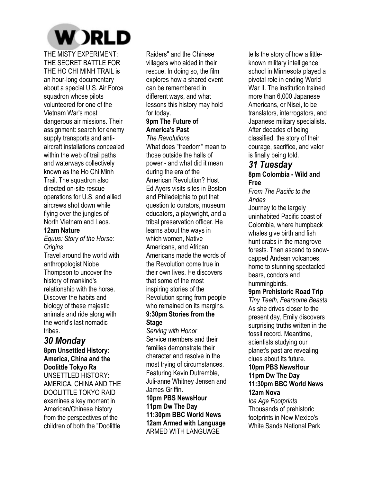

THE MISTY EXPERIMENT: THE SECRET BATTLE FOR THE HO CHI MINH TRAIL is an hour-long documentary about a special U.S. Air Force squadron whose pilots volunteered for one of the Vietnam War's most dangerous air missions. Their assignment: search for enemy supply transports and antiaircraft installations concealed within the web of trail paths and waterways collectively known as the Ho Chi Minh Trail. The squadron also directed on-site rescue operations for U.S. and allied aircrews shot down while flying over the jungles of North Vietnam and Laos.

#### **12am Nature**

*Equus: Story of the Horse: Origins* 

Travel around the world with anthropologist Niobe Thompson to uncover the history of mankind's relationship with the horse. Discover the habits and biology of these majestic animals and ride along with the world's last nomadic tribes.

## *30 Monday*

**8pm Unsettled History: America, China and the Doolittle Tokyo Ra**  UNSETTLED HISTORY: AMERICA, CHINA AND THE DOOLITTLE TOKYO RAID examines a key moment in American/Chinese history from the perspectives of the children of both the "Doolittle

Raiders" and the Chinese villagers who aided in their rescue. In doing so, the film explores how a shared event can be remembered in different ways, and what lessons this history may hold for today.

## **9pm The Future of America's Past**

*The Revolutions*  What does "freedom" mean to those outside the halls of power - and what did it mean during the era of the American Revolution? Host Ed Ayers visits sites in Boston and Philadelphia to put that question to curators, museum educators, a playwright, and a tribal preservation officer. He learns about the ways in which women, Native Americans, and African Americans made the words of the Revolution come true in their own lives. He discovers that some of the most inspiring stories of the Revolution spring from people who remained on its margins. **9:30pm Stories from the Stage** 

*Serving with Honor*  Service members and their families demonstrate their character and resolve in the most trying of circumstances. Featuring Kevin Dutremble, Juli-anne Whitney Jensen and James Griffin. **10pm PBS NewsHour**

**11pm Dw The Day 11:30pm BBC World News 12am Armed with Language**  ARMED WITH LANGUAGE

tells the story of how a littleknown military intelligence school in Minnesota played a pivotal role in ending World War II. The institution trained more than 6,000 Japanese Americans, or Nisei, to be translators, interrogators, and Japanese military specialists. After decades of being classified, the story of their courage, sacrifice, and valor is finally being told.

# *31 Tuesday*

## **8pm Colombia - Wild and Free**

*From The Pacific to the Andes* 

Journey to the largely uninhabited Pacific coast of Colombia, where humpback whales give birth and fish hunt crabs in the mangrove forests. Then ascend to snowcapped Andean volcanoes, home to stunning spectacled bears, condors and hummingbirds.

#### **9pm Prehistoric Road Trip**

*Tiny Teeth, Fearsome Beasts*  As she drives closer to the present day, Emily discovers surprising truths written in the fossil record. Meantime, scientists studying our planet's past are revealing clues about its future. **10pm PBS NewsHour 11pm Dw The Day 11:30pm BBC World News** 

#### **12am Nova**

*Ice Age Footprints*  Thousands of prehistoric footprints in New Mexico's White Sands National Park